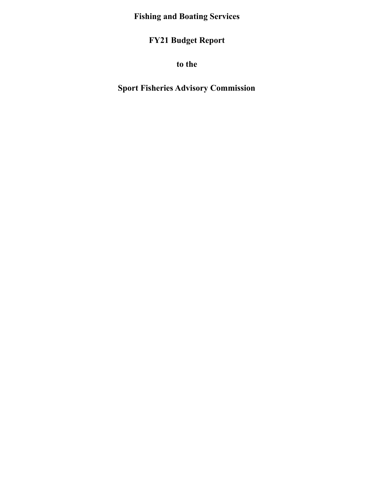**Fishing and Boating Services**

**FY21 Budget Report**

**to the**

**Sport Fisheries Advisory Commission**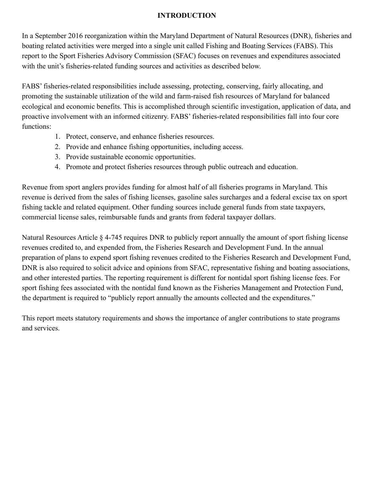### **INTRODUCTION**

In a September 2016 reorganization within the Maryland Department of Natural Resources (DNR), fisheries and boating related activities were merged into a single unit called Fishing and Boating Services (FABS). This report to the Sport Fisheries Advisory Commission (SFAC) focuses on revenues and expenditures associated with the unit's fisheries-related funding sources and activities as described below.

FABS' fisheries-related responsibilities include assessing, protecting, conserving, fairly allocating, and promoting the sustainable utilization of the wild and farm-raised fish resources of Maryland for balanced ecological and economic benefits. This is accomplished through scientific investigation, application of data, and proactive involvement with an informed citizenry. FABS' fisheries-related responsibilities fall into four core functions:

- 1. Protect, conserve, and enhance fisheries resources.
- 2. Provide and enhance fishing opportunities, including access.
- 3. Provide sustainable economic opportunities.
- 4. Promote and protect fisheries resources through public outreach and education.

Revenue from sport anglers provides funding for almost half of all fisheries programs in Maryland. This revenue is derived from the sales of fishing licenses, gasoline sales surcharges and a federal excise tax on sport fishing tackle and related equipment. Other funding sources include general funds from state taxpayers, commercial license sales, reimbursable funds and grants from federal taxpayer dollars.

Natural Resources Article § 4-745 requires DNR to publicly report annually the amount of sport fishing license revenues credited to, and expended from, the Fisheries Research and Development Fund. In the annual preparation of plans to expend sport fishing revenues credited to the Fisheries Research and Development Fund, DNR is also required to solicit advice and opinions from SFAC, representative fishing and boating associations, and other interested parties. The reporting requirement is different for nontidal sport fishing license fees. For sport fishing fees associated with the nontidal fund known as the Fisheries Management and Protection Fund, the department is required to "publicly report annually the amounts collected and the expenditures."

This report meets statutory requirements and shows the importance of angler contributions to state programs and services.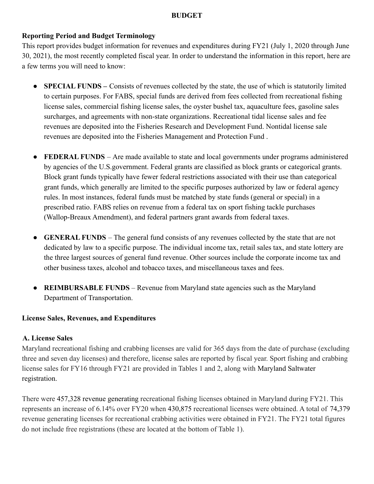#### **BUDGET**

## **Reporting Period and Budget Terminology**

This report provides budget information for revenues and expenditures during FY21 (July 1, 2020 through June 30, 2021), the most recently completed fiscal year. In order to understand the information in this report, here are a few terms you will need to know:

- **SPECIAL FUNDS** Consists of revenues collected by the state, the use of which is statutorily limited to certain purposes. For FABS, special funds are derived from fees collected from recreational fishing license sales, commercial fishing license sales, the oyster bushel tax, aquaculture fees, gasoline sales surcharges, and agreements with non-state organizations. Recreational tidal license sales and fee revenues are deposited into the Fisheries Research and Development Fund. Nontidal license sale revenues are deposited into the Fisheries Management and Protection Fund .
- **FEDERAL FUNDS** Are made available to state and local governments under programs administered by agencies of the U.S.government. Federal grants are classified as block grants or categorical grants. Block grant funds typically have fewer federal restrictions associated with their use than categorical grant funds, which generally are limited to the specific purposes authorized by law or federal agency rules. In most instances, federal funds must be matched by state funds (general or special) in a prescribed ratio. FABS relies on revenue from a federal tax on sport fishing tackle purchases (Wallop-Breaux Amendment), and federal partners grant awards from federal taxes.
- **GENERAL FUNDS** The general fund consists of any revenues collected by the state that are not dedicated by law to a specific purpose. The individual income tax, retail sales tax, and state lottery are the three largest sources of general fund revenue. Other sources include the corporate income tax and other business taxes, alcohol and tobacco taxes, and miscellaneous taxes and fees.
- **REIMBURSABLE FUNDS** Revenue from Maryland state agencies such as the Maryland Department of Transportation.

#### **License Sales, Revenues, and Expenditures**

#### **A. License Sales**

Maryland recreational fishing and crabbing licenses are valid for 365 days from the date of purchase (excluding three and seven day licenses) and therefore, license sales are reported by fiscal year. Sport fishing and crabbing license sales for FY16 through FY21 are provided in Tables 1 and 2, along with Maryland Saltwater registration.

There were 457,328 revenue generating recreational fishing licenses obtained in Maryland during FY21. This represents an increase of 6.14% over FY20 when 430,875 recreational licenses were obtained. A total of 74,379 revenue generating licenses for recreational crabbing activities were obtained in FY21. The FY21 total figures do not include free registrations (these are located at the bottom of Table 1).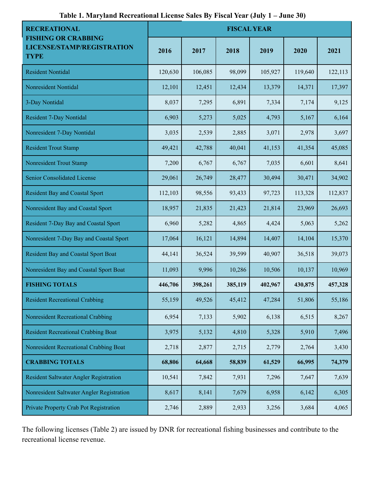| <b>RECREATIONAL</b>                                                     | <b>FISCAL YEAR</b> |         |         |         |         |         |
|-------------------------------------------------------------------------|--------------------|---------|---------|---------|---------|---------|
| <b>FISHING OR CRABBING</b><br>LICENSE/STAMP/REGISTRATION<br><b>TYPE</b> | 2016               | 2017    | 2018    | 2019    | 2020    | 2021    |
| <b>Resident Nontidal</b>                                                | 120,630            | 106,085 | 98,099  | 105,927 | 119,640 | 122,113 |
| Nonresident Nontidal                                                    | 12,101             | 12,451  | 12,434  | 13,379  | 14,371  | 17,397  |
| 3-Day Nontidal                                                          | 8,037              | 7,295   | 6,891   | 7,334   | 7,174   | 9,125   |
| <b>Resident 7-Day Nontidal</b>                                          | 6,903              | 5,273   | 5,025   | 4,793   | 5,167   | 6,164   |
| Nonresident 7-Day Nontidal                                              | 3,035              | 2,539   | 2,885   | 3,071   | 2,978   | 3,697   |
| <b>Resident Trout Stamp</b>                                             | 49,421             | 42,788  | 40,041  | 41,153  | 41,354  | 45,085  |
| Nonresident Trout Stamp                                                 | 7,200              | 6,767   | 6,767   | 7,035   | 6,601   | 8,641   |
| Senior Consolidated License                                             | 29,061             | 26,749  | 28,477  | 30,494  | 30,471  | 34,902  |
| <b>Resident Bay and Coastal Sport</b>                                   | 112,103            | 98,556  | 93,433  | 97,723  | 113,328 | 112,837 |
| Nonresident Bay and Coastal Sport                                       | 18,957             | 21,835  | 21,423  | 21,814  | 23,969  | 26,693  |
| Resident 7-Day Bay and Coastal Sport                                    | 6,960              | 5,282   | 4,865   | 4,424   | 5,063   | 5,262   |
| Nonresident 7-Day Bay and Coastal Sport                                 | 17,064             | 16,121  | 14,894  | 14,407  | 14,104  | 15,370  |
| <b>Resident Bay and Coastal Sport Boat</b>                              | 44,141             | 36,524  | 39,599  | 40,907  | 36,518  | 39,073  |
| Nonresident Bay and Coastal Sport Boat                                  | 11,093             | 9,996   | 10,286  | 10,506  | 10,137  | 10,969  |
| <b>FISHING TOTALS</b>                                                   | 446,706            | 398,261 | 385,119 | 402,967 | 430,875 | 457,328 |
| <b>Resident Recreational Crabbing</b>                                   | 55,159             | 49,526  | 45,412  | 47,284  | 51,806  | 55,186  |
| Nonresident Recreational Crabbing                                       | 6,954              | 7,133   | 5,902   | 6,138   | 6,515   | 8,267   |
| <b>Resident Recreational Crabbing Boat</b>                              | 3,975              | 5,132   | 4,810   | 5,328   | 5,910   | 7,496   |
| Nonresident Recreational Crabbing Boat                                  | 2,718              | 2,877   | 2,715   | 2,779   | 2,764   | 3,430   |
| <b>CRABBING TOTALS</b>                                                  | 68,806             | 64,668  | 58,839  | 61,529  | 66,995  | 74,379  |
| Resident Saltwater Angler Registration                                  | 10,541             | 7,842   | 7,931   | 7,296   | 7,647   | 7,639   |
| Nonresident Saltwater Angler Registration                               | 8,617              | 8,141   | 7,679   | 6,958   | 6,142   | 6,305   |
| Private Property Crab Pot Registration                                  | 2,746              | 2,889   | 2,933   | 3,256   | 3,684   | 4,065   |

**Table 1. Maryland Recreational License Sales By Fiscal Year (July 1 – June 30)**

The following licenses (Table 2) are issued by DNR for recreational fishing businesses and contribute to the recreational license revenue.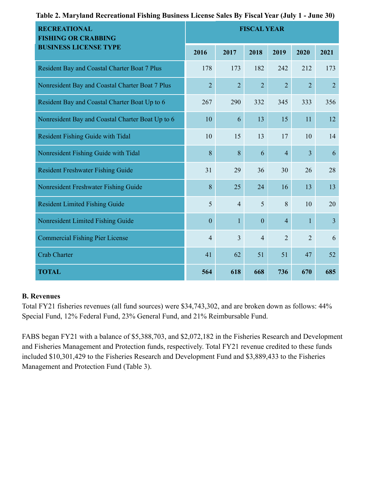| <b>RECREATIONAL</b><br><b>FISHING OR CRABBING</b> | <b>FISCAL YEAR</b> |                |                |                |                |                |
|---------------------------------------------------|--------------------|----------------|----------------|----------------|----------------|----------------|
| <b>BUSINESS LICENSE TYPE</b>                      | 2016               | 2017           | 2018           | 2019           | 2020           | 2021           |
| Resident Bay and Coastal Charter Boat 7 Plus      | 178                | 173            | 182            | 242            | 212            | 173            |
| Nonresident Bay and Coastal Charter Boat 7 Plus   | $\overline{2}$     | $\overline{2}$ | $\overline{2}$ | $\overline{2}$ | $\overline{2}$ | $\overline{2}$ |
| Resident Bay and Coastal Charter Boat Up to 6     | 267                | 290            | 332            | 345            | 333            | 356            |
| Nonresident Bay and Coastal Charter Boat Up to 6  | 10                 | 6              | 13             | 15             | 11             | 12             |
| Resident Fishing Guide with Tidal                 | 10                 | 15             | 13             | 17             | 10             | 14             |
| Nonresident Fishing Guide with Tidal              | 8                  | 8              | 6              | $\overline{4}$ | $\overline{3}$ | 6              |
| <b>Resident Freshwater Fishing Guide</b>          | 31                 | 29             | 36             | 30             | 26             | 28             |
| Nonresident Freshwater Fishing Guide              | 8                  | 25             | 24             | 16             | 13             | 13             |
| <b>Resident Limited Fishing Guide</b>             | 5                  | $\overline{4}$ | 5              | 8              | 10             | 20             |
| Nonresident Limited Fishing Guide                 | $\overline{0}$     | $\mathbf{1}$   | $\mathbf{0}$   | $\overline{4}$ | $\mathbf{1}$   | $\overline{3}$ |
| <b>Commercial Fishing Pier License</b>            | $\overline{4}$     | $\overline{3}$ | $\overline{4}$ | $\overline{2}$ | $\overline{2}$ | 6              |
| <b>Crab Charter</b>                               | 41                 | 62             | 51             | 51             | 47             | 52             |
| <b>TOTAL</b>                                      | 564                | 618            | 668            | 736            | 670            | 685            |

#### **Table 2. Maryland Recreational Fishing Business License Sales By Fiscal Year (July 1 - June 30)**

#### **B. Revenues**

Total FY21 fisheries revenues (all fund sources) were \$34,743,302, and are broken down as follows: 44% Special Fund, 12% Federal Fund, 23% General Fund, and 21% Reimbursable Fund.

FABS began FY21 with a balance of \$5,388,703, and \$2,072,182 in the Fisheries Research and Development and Fisheries Management and Protection funds, respectively. Total FY21 revenue credited to these funds included \$10,301,429 to the Fisheries Research and Development Fund and \$3,889,433 to the Fisheries Management and Protection Fund (Table 3).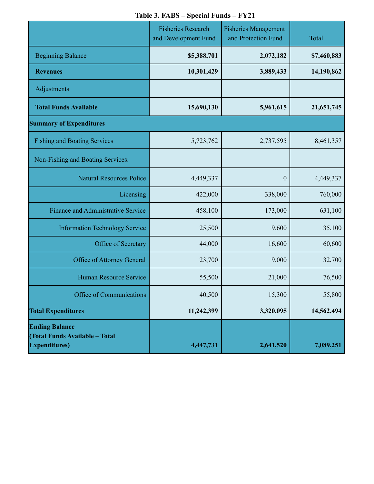|  |  |  | Table 3. FABS – Special Funds – FY21 |  |
|--|--|--|--------------------------------------|--|
|--|--|--|--------------------------------------|--|

|                                                                                  | <b>Fisheries Research</b><br>and Development Fund | <b>Fisheries Management</b><br>and Protection Fund | Total       |
|----------------------------------------------------------------------------------|---------------------------------------------------|----------------------------------------------------|-------------|
| <b>Beginning Balance</b>                                                         | \$5,388,701                                       | 2,072,182                                          | \$7,460,883 |
| <b>Revenues</b>                                                                  | 10,301,429                                        | 3,889,433                                          | 14,190,862  |
| Adjustments                                                                      |                                                   |                                                    |             |
| <b>Total Funds Available</b>                                                     | 15,690,130                                        | 5,961,615                                          | 21,651,745  |
| <b>Summary of Expenditures</b>                                                   |                                                   |                                                    |             |
| <b>Fishing and Boating Services</b>                                              | 5,723,762                                         | 2,737,595                                          | 8,461,357   |
| Non-Fishing and Boating Services:                                                |                                                   |                                                    |             |
| <b>Natural Resources Police</b>                                                  | 4,449,337                                         | $\boldsymbol{0}$                                   | 4,449,337   |
| Licensing                                                                        | 422,000                                           | 338,000                                            | 760,000     |
| <b>Finance and Administrative Service</b>                                        | 458,100                                           | 173,000                                            | 631,100     |
| <b>Information Technology Service</b>                                            | 25,500                                            | 9,600                                              | 35,100      |
| Office of Secretary                                                              | 44,000                                            | 16,600                                             | 60,600      |
| Office of Attorney General                                                       | 23,700                                            | 9,000                                              | 32,700      |
| Human Resource Service                                                           | 55,500                                            | 21,000                                             | 76,500      |
| Office of Communications                                                         | 40,500                                            | 15,300                                             | 55,800      |
| <b>Total Expenditures</b>                                                        | 11,242,399                                        | 3,320,095                                          | 14,562,494  |
| <b>Ending Balance</b><br>(Total Funds Available - Total<br><b>Expenditures</b> ) | 4,447,731                                         | 2,641,520                                          | 7,089,251   |